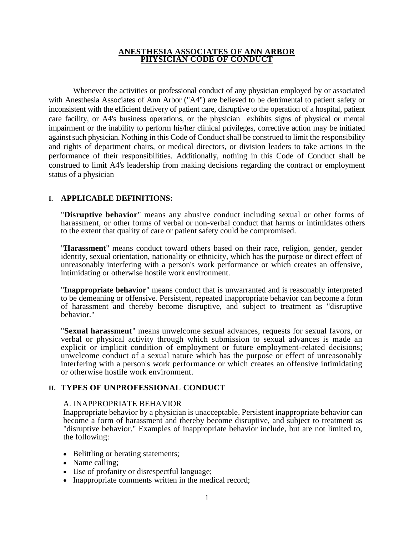#### **ANESTHESIA ASSOCIATES OF ANN ARBOR PHYSICIAN CODE OF CONDUCT**

Whenever the activities or professional conduct of any physician employed by or associated with Anesthesia Associates of Ann Arbor ("A4") are believed to be detrimental to patient safety or inconsistent with the efficient delivery of patient care, disruptive to the operation of a hospital, patient care facility, or A4's business operations, or the physician exhibits signs of physical or mental impairment or the inability to perform his/her clinical privileges, corrective action may be initiated against such physician. Nothing in this Code of Conduct shall be construed to limit the responsibility and rights of department chairs, or medical directors, or division leaders to take actions in the performance of their responsibilities. Additionally, nothing in this Code of Conduct shall be construed to limit A4's leadership from making decisions regarding the contract or employment status of a physician

### **I. APPLICABLE DEFINITIONS:**

"**Disruptive behavior**" means any abusive conduct including sexual or other forms of harassment, or other forms of verbal or non-verbal conduct that harms or intimidates others to the extent that quality of care or patient safety could be compromised.

"**Harassment**" means conduct toward others based on their race, religion, gender, gender identity, sexual orientation, nationality or ethnicity, which has the purpose or direct effect of unreasonably interfering with a person's work performance or which creates an offensive, intimidating or otherwise hostile work environment.

"**Inappropriate behavior**" means conduct that is unwarranted and is reasonably interpreted to be demeaning or offensive. Persistent, repeated inappropriate behavior can become a form of harassment and thereby become disruptive, and subject to treatment as "disruptive behavior."

"**Sexual harassment**" means unwelcome sexual advances, requests for sexual favors, or verbal or physical activity through which submission to sexual advances is made an explicit or implicit condition of employment or future employment-related decisions; unwelcome conduct of a sexual nature which has the purpose or effect of unreasonably interfering with a person's work performance or which creates an offensive intimidating or otherwise hostile work environment.

### **II. TYPES OF UNPROFESSIONAL CONDUCT**

#### A. INAPPROPRIATE BEHAVIOR

Inappropriate behavior by a physician is unacceptable. Persistent inappropriate behavior can become a form of harassment and thereby become disruptive, and subject to treatment as "disruptive behavior." Examples of inappropriate behavior include, but are not limited to, the following:

- Belittling or berating statements;
- Name calling;
- Use of profanity or disrespectful language;
- Inappropriate comments written in the medical record;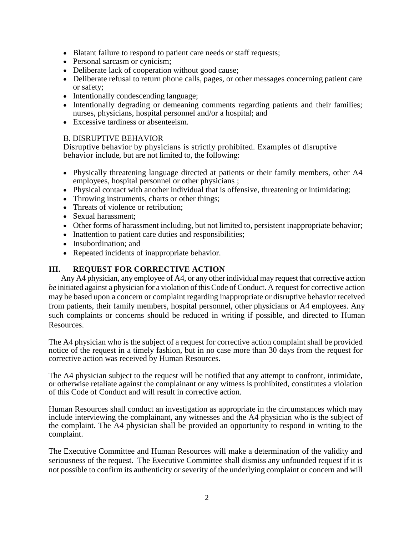- Blatant failure to respond to patient care needs or staff requests;
- Personal sarcasm or cynicism;
- Deliberate lack of cooperation without good cause;
- Deliberate refusal to return phone calls, pages, or other messages concerning patient care or safety;
- Intentionally condescending language;
- Intentionally degrading or demeaning comments regarding patients and their families; nurses, physicians, hospital personnel and/or a hospital; and
- Excessive tardiness or absenteeism.

### B. DISRUPTIVE BEHAVIOR

Disruptive behavior by physicians is strictly prohibited. Examples of disruptive behavior include, but are not limited to, the following:

- Physically threatening language directed at patients or their family members, other A4 employees, hospital personnel or other physicians ;
- Physical contact with another individual that is offensive, threatening or intimidating;
- Throwing instruments, charts or other things;
- Threats of violence or retribution;
- Sexual harassment:
- Other forms of harassment including, but not limited to, persistent inappropriate behavior;
- Inattention to patient care duties and responsibilities;
- Insubordination: and
- Repeated incidents of inappropriate behavior.

# **III. REQUEST FOR CORRECTIVE ACTION**

Any A4 physician, any employee of A4, or any other individual may request that corrective action *be* initiated against a physician for a violation of this Code of Conduct. A request for corrective action may be based upon a concern or complaint regarding inappropriate or disruptive behavior received from patients, their family members, hospital personnel, other physicians or A4 employees. Any such complaints or concerns should be reduced in writing if possible, and directed to Human Resources.

The A4 physician who is the subject of a request for corrective action complaint shall be provided notice of the request in a timely fashion, but in no case more than 30 days from the request for corrective action was received by Human Resources.

The A4 physician subject to the request will be notified that any attempt to confront, intimidate, or otherwise retaliate against the complainant or any witness is prohibited, constitutes a violation of this Code of Conduct and will result in corrective action.

Human Resources shall conduct an investigation as appropriate in the circumstances which may include interviewing the complainant, any witnesses and the A4 physician who is the subject of the complaint. The A4 physician shall be provided an opportunity to respond in writing to the complaint.

The Executive Committee and Human Resources will make a determination of the validity and seriousness of the request. The Executive Committee shall dismiss any unfounded request if it is not possible to confirm its authenticity or severity of the underlying complaint or concern and will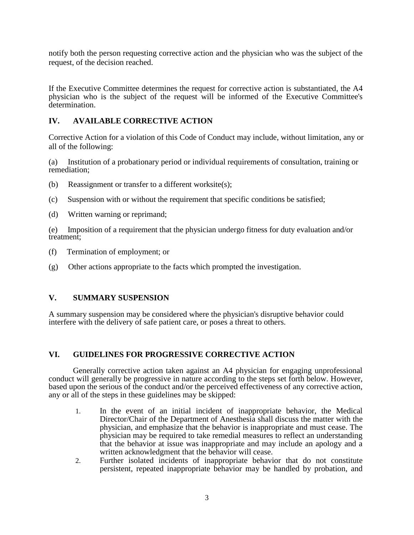notify both the person requesting corrective action and the physician who was the subject of the request, of the decision reached.

If the Executive Committee determines the request for corrective action is substantiated, the A4 physician who is the subject of the request will be informed of the Executive Committee's determination.

# **IV. AVAILABLE CORRECTIVE ACTION**

Corrective Action for a violation of this Code of Conduct may include, without limitation, any or all of the following:

(a) Institution of a probationary period or individual requirements of consultation, training or remediation;

- (b) Reassignment or transfer to a different worksite(s);
- (c) Suspension with or without the requirement that specific conditions be satisfied;
- (d) Written warning or reprimand;

(e) Imposition of a requirement that the physician undergo fitness for duty evaluation and/or treatment;

- (f) Termination of employment; or
- (g) Other actions appropriate to the facts which prompted the investigation.

# **V. SUMMARY SUSPENSION**

A summary suspension may be considered where the physician's disruptive behavior could interfere with the delivery of safe patient care, or poses a threat to others.

# **VI. GUIDELINES FOR PROGRESSIVE CORRECTIVE ACTION**

Generally corrective action taken against an A4 physician for engaging unprofessional conduct will generally be progressive in nature according to the steps set forth below. However, based upon the serious of the conduct and/or the perceived effectiveness of any corrective action, any or all of the steps in these guidelines may be skipped:

- 1. In the event of an initial incident of inappropriate behavior, the Medical Director/Chair of the Department of Anesthesia shall discuss the matter with the physician, and emphasize that the behavior is inappropriate and must cease. The physician may be required to take remedial measures to reflect an understanding that the behavior at issue was inappropriate and may include an apology and a written acknowledgment that the behavior will cease.
- 2. Further isolated incidents of inappropriate behavior that do not constitute persistent, repeated inappropriate behavior may be handled by probation, and